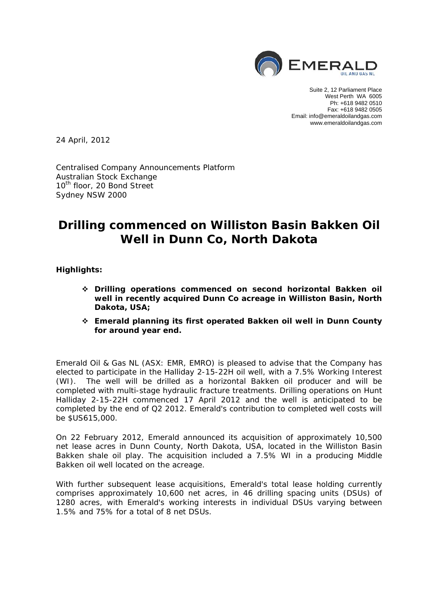

Suite 2, 12 Parliament Place West Perth WA 6005 Ph: +618 9482 0510 Fax: +618 9482 0505 Email: info@emeraldoilandgas.com www.emeraldoilandgas.com

24 April, 2012

Centralised Company Announcements Platform Australian Stock Exchange 10<sup>th</sup> floor, 20 Bond Street Sydney NSW 2000

# **Drilling commenced on Williston Basin Bakken Oil Well in Dunn Co, North Dakota**

**Highlights:** 

- **Drilling operations commenced on second horizontal Bakken oil well in recently acquired Dunn Co acreage in Williston Basin, North Dakota, USA;**
- **Emerald planning its first operated Bakken oil well in Dunn County for around year end.**

Emerald Oil & Gas NL (ASX: EMR, EMRO) is pleased to advise that the Company has elected to participate in the Halliday 2-15-22H oil well, with a 7.5% Working Interest (WI). The well will be drilled as a horizontal Bakken oil producer and will be completed with multi-stage hydraulic fracture treatments. Drilling operations on Hunt Halliday 2-15-22H commenced 17 April 2012 and the well is anticipated to be completed by the end of Q2 2012. Emerald's contribution to completed well costs will be \$US615,000.

On 22 February 2012, Emerald announced its acquisition of approximately 10,500 net lease acres in Dunn County, North Dakota, USA, located in the Williston Basin Bakken shale oil play. The acquisition included a 7.5% WI in a producing Middle Bakken oil well located on the acreage.

With further subsequent lease acquisitions, Emerald's total lease holding currently comprises approximately 10,600 net acres, in 46 drilling spacing units (DSUs) of 1280 acres, with Emerald's working interests in individual DSUs varying between 1.5% and 75% for a total of 8 net DSUs.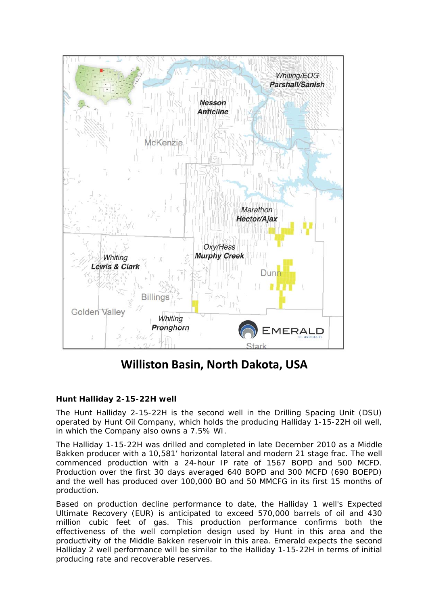

**Williston Basin, North Dakota, USA**

# **Hunt Halliday 2-15-22H well**

The Hunt Halliday 2-15-22H is the second well in the Drilling Spacing Unit (DSU) operated by Hunt Oil Company, which holds the producing Halliday 1-15-22H oil well, in which the Company also owns a 7.5% WI.

The Halliday 1-15-22H was drilled and completed in late December 2010 as a Middle Bakken producer with a 10,581' horizontal lateral and modern 21 stage frac. The well commenced production with a 24-hour IP rate of 1567 BOPD and 500 MCFD. Production over the first 30 days averaged 640 BOPD and 300 MCFD (690 BOEPD) and the well has produced over 100,000 BO and 50 MMCFG in its first 15 months of production.

Based on production decline performance to date, the Halliday 1 well's Expected Ultimate Recovery (EUR) is anticipated to exceed 570,000 barrels of oil and 430 million cubic feet of gas. This production performance confirms both the effectiveness of the well completion design used by Hunt in this area and the productivity of the Middle Bakken reservoir in this area. Emerald expects the second Halliday 2 well performance will be similar to the Halliday 1-15-22H in terms of initial producing rate and recoverable reserves.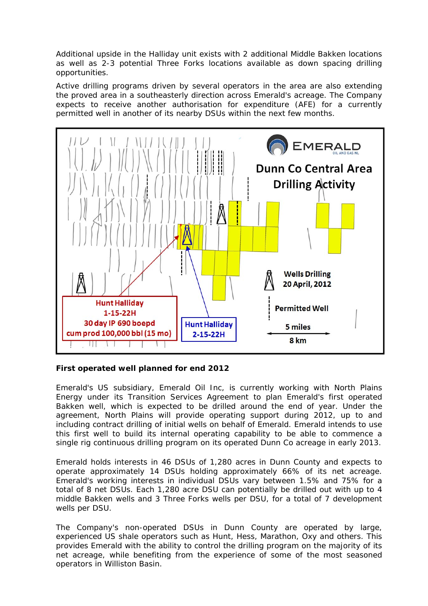Additional upside in the Halliday unit exists with 2 additional Middle Bakken locations as well as 2-3 potential Three Forks locations available as down spacing drilling opportunities.

Active drilling programs driven by several operators in the area are also extending the proved area in a southeasterly direction across Emerald's acreage. The Company expects to receive another authorisation for expenditure (AFE) for a currently permitted well in another of its nearby DSUs within the next few months.



## **First operated well planned for end 2012**

Emerald's US subsidiary, Emerald Oil Inc, is currently working with North Plains Energy under its Transition Services Agreement to plan Emerald's first operated Bakken well, which is expected to be drilled around the end of year. Under the agreement, North Plains will provide operating support during 2012, up to and including contract drilling of initial wells on behalf of Emerald. Emerald intends to use this first well to build its internal operating capability to be able to commence a single rig continuous drilling program on its operated Dunn Co acreage in early 2013.

Emerald holds interests in 46 DSUs of 1,280 acres in Dunn County and expects to operate approximately 14 DSUs holding approximately 66% of its net acreage. Emerald's working interests in individual DSUs vary between 1.5% and 75% for a total of 8 net DSUs. Each 1,280 acre DSU can potentially be drilled out with up to 4 middle Bakken wells and 3 Three Forks wells per DSU, for a total of 7 development wells per DSU.

The Company's non-operated DSUs in Dunn County are operated by large, experienced US shale operators such as Hunt, Hess, Marathon, Oxy and others. This provides Emerald with the ability to control the drilling program on the majority of its net acreage, while benefiting from the experience of some of the most seasoned operators in Williston Basin.